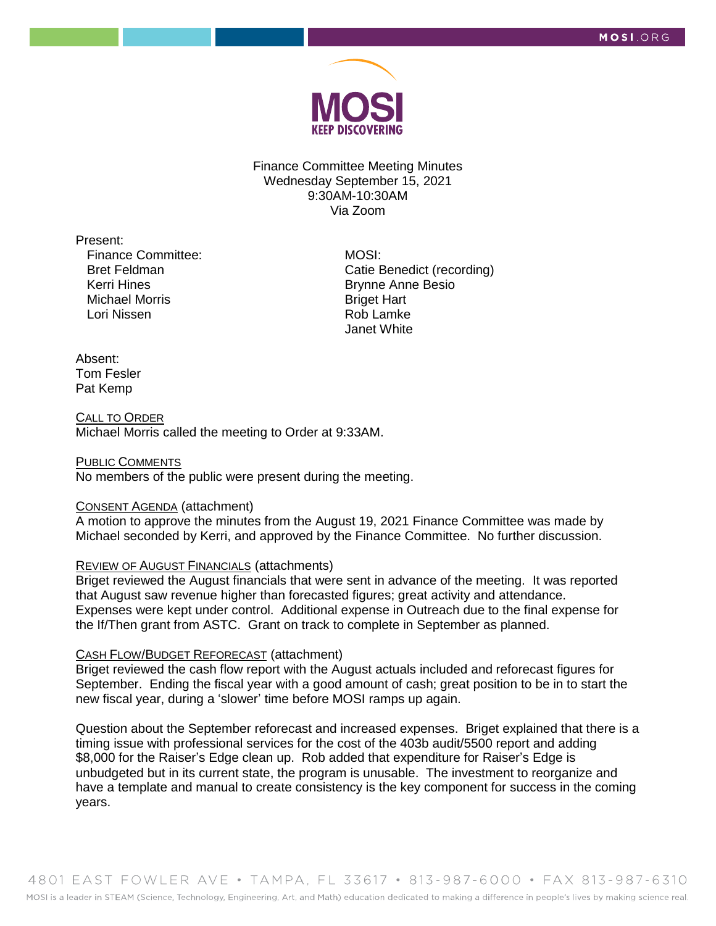

Finance Committee Meeting Minutes Wednesday September 15, 2021 9:30AM-10:30AM Via Zoom

Present:

Finance Committee: Bret Feldman Kerri Hines Michael Morris Lori Nissen

MOSI: Catie Benedict (recording) Brynne Anne Besio Briget Hart Rob Lamke Janet White

#### Absent: Tom Fesler Pat Kemp

#### CALL TO ORDER Michael Morris called the meeting to Order at 9:33AM.

### PUBLIC COMMENTS No members of the public were present during the meeting.

# CONSENT AGENDA (attachment)

A motion to approve the minutes from the August 19, 2021 Finance Committee was made by Michael seconded by Kerri, and approved by the Finance Committee. No further discussion.

# **REVIEW OF AUGUST FINANCIALS (attachments)**

Briget reviewed the August financials that were sent in advance of the meeting. It was reported that August saw revenue higher than forecasted figures; great activity and attendance. Expenses were kept under control. Additional expense in Outreach due to the final expense for the If/Then grant from ASTC. Grant on track to complete in September as planned.

## CASH FLOW/BUDGET REFORECAST (attachment)

Briget reviewed the cash flow report with the August actuals included and reforecast figures for September. Ending the fiscal year with a good amount of cash; great position to be in to start the new fiscal year, during a 'slower' time before MOSI ramps up again.

Question about the September reforecast and increased expenses. Briget explained that there is a timing issue with professional services for the cost of the 403b audit/5500 report and adding \$8,000 for the Raiser's Edge clean up. Rob added that expenditure for Raiser's Edge is unbudgeted but in its current state, the program is unusable. The investment to reorganize and have a template and manual to create consistency is the key component for success in the coming years.